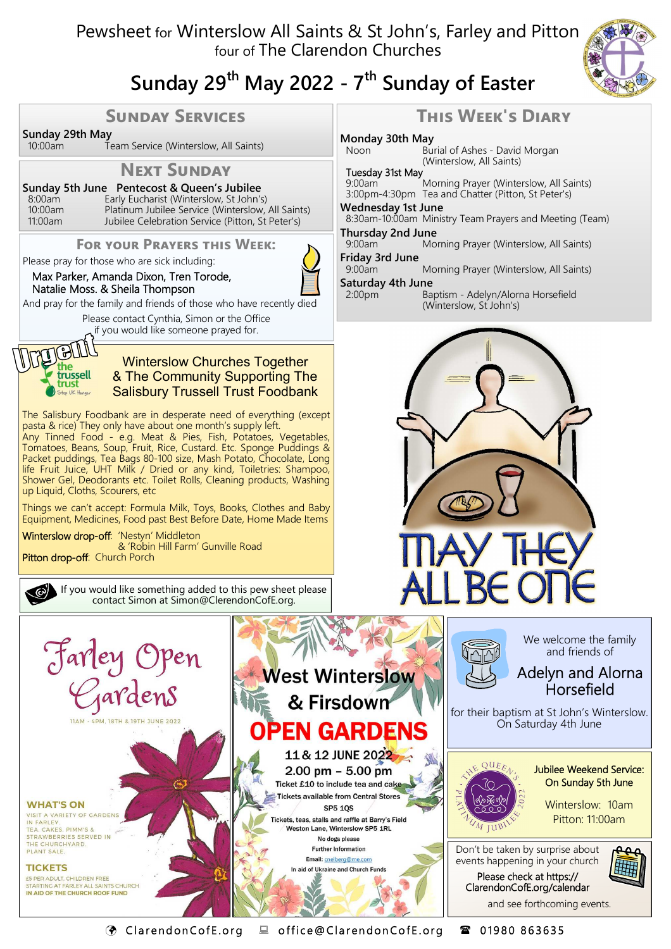## Pewsheet for Winterslow All Saints & St John's, Farley and Pitton four of The Clarendon Churches



# **Sunday 29th May 2022 - 7th Sunday of Easter**

### **SUNDAY SERVICES**

**Sunday 29th May**<br><sup>10:00am</sup>

Team Service (Winterslow, All Saints)

## **NEXT SUNDAY**

**Sunday 5th June Pentecost & Queen's Jubilee**  8:00am Early Eucharist (Winterslow, St John's) 10:00am Platinum Jubilee Service (Winterslow, All Saints)<br>11:00am Jubilee Celebration Service (Pitton, St Peter's) Jubilee Celebration Service (Pitton, St Peter's)

#### **FOR YOUR PRAYERS THIS WEEK:**

Please pray for those who are sick including:

#### Max Parker, Amanda Dixon, Tren Torode, Natalie Moss. & Sheila Thompson

And pray for the family and friends of those who have recently died

Please contact Cynthia, Simon or the Office if you would like someone prayed for.



#### Winterslow Churches Together & The Community Supporting The Salisbury Trussell Trust Foodbank

The Salisbury Foodbank are in desperate need of everything (except pasta & rice) They only have about one month's supply left. Any Tinned Food - e.g. Meat & Pies, Fish, Potatoes, Vegetables, Tomatoes, Beans, Soup, Fruit, Rice, Custard. Etc. Sponge Puddings & Packet puddings, Tea Bags 80-100 size, Mash Potato, Chocolate, Long life Fruit Juice, UHT Milk / Dried or any kind, Toiletries: Shampoo, Shower Gel, Deodorants etc. Toilet Rolls, Cleaning products, Washing up Liquid, Cloths, Scourers, etc

Things we can't accept: Formula Milk, Toys, Books, Clothes and Baby Equipment, Medicines, Food past Best Before Date, Home Made Items

Winterslow drop-off: 'Nestyn' Middleton & 'Robin Hill Farm' Gunville Road Pitton drop-off: Church Porch

> If you would like something added to this pew sheet please contact Simon at Simon@ClerendonCofE.org.







C l a r e nd on Co f E .o r g o f f i c e @ Cl a r en don Co f E . or g 0 1 9 8 0 8 6 36 35